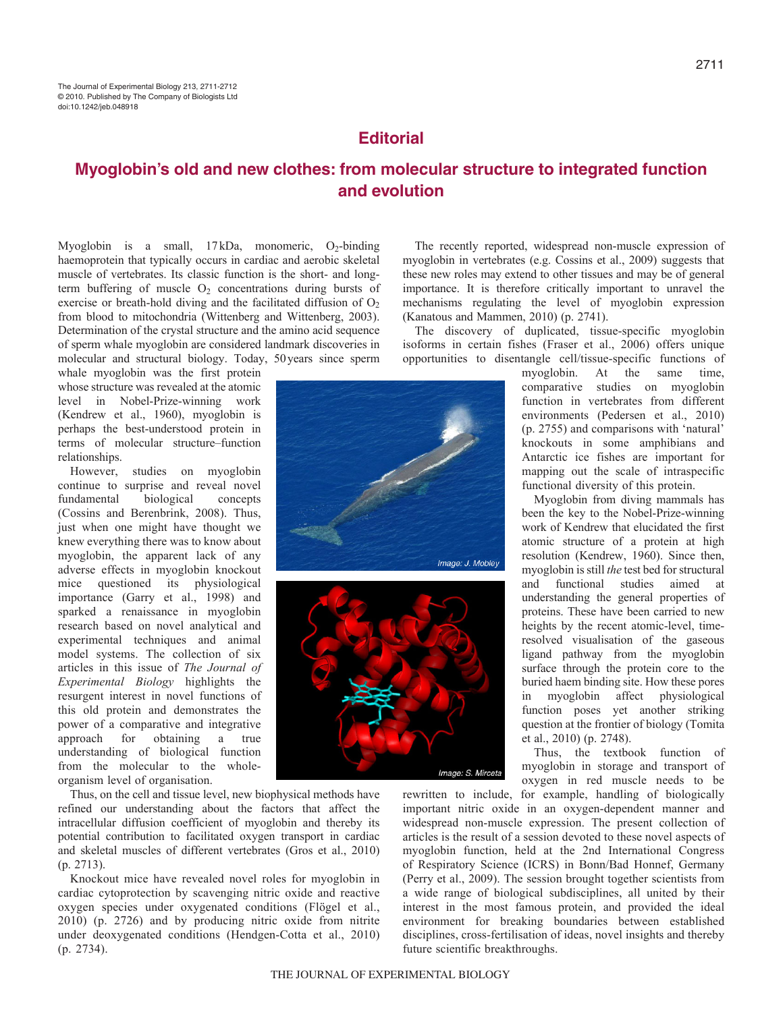## **Editorial**

# **Myoglobin's old and new clothes: from molecular structure to integrated function and evolution**

Myoglobin is a small,  $17kDa$ , monomeric,  $O_2$ -binding haemoprotein that typically occurs in cardiac and aerobic skeletal muscle of vertebrates. Its classic function is the short- and longterm buffering of muscle  $O_2$  concentrations during bursts of exercise or breath-hold diving and the facilitated diffusion of O<sub>2</sub> from blood to mitochondria (Wittenberg and Wittenberg, 2003). Determination of the crystal structure and the amino acid sequence of sperm whale myoglobin are considered landmark discoveries in molecular and structural biology. Today, 50years since sperm

whale myoglobin was the first protein whose structure was revealed at the atomic level in Nobel-Prize-winning work (Kendrew et al., 1960), myoglobin is perhaps the best-understood protein in terms of molecular structure–function relationships.

However, studies on myoglobin continue to surprise and reveal novel fundamental biological concepts (Cossins and Berenbrink, 2008). Thus, just when one might have thought we knew everything there was to know about myoglobin, the apparent lack of any adverse effects in myoglobin knockout mice questioned its physiological importance (Garry et al., 1998) and sparked a renaissance in myoglobin research based on novel analytical and experimental techniques and animal model systems. The collection of six articles in this issue of *The Journal of Experimental Biology* highlights the resurgent interest in novel functions of this old protein and demonstrates the power of a comparative and integrative approach for obtaining a true understanding of biological function from the molecular to the wholeorganism level of organisation.

Thus, on the cell and tissue level, new biophysical methods have refined our understanding about the factors that affect the intracellular diffusion coefficient of myoglobin and thereby its potential contribution to facilitated oxygen transport in cardiac and skeletal muscles of different vertebrates (Gros et al., 2010) (p. 2713).

Knockout mice have revealed novel roles for myoglobin in cardiac cytoprotection by scavenging nitric oxide and reactive oxygen species under oxygenated conditions (Flögel et al., 2010) (p. 2726) and by producing nitric oxide from nitrite under deoxygenated conditions (Hendgen-Cotta et al., 2010) (p. 2734).

The recently reported, widespread non-muscle expression of myoglobin in vertebrates (e.g. Cossins et al., 2009) suggests that these new roles may extend to other tissues and may be of general importance. It is therefore critically important to unravel the mechanisms regulating the level of myoglobin expression (Kanatous and Mammen, 2010) (p. 2741).

The discovery of duplicated, tissue-specific myoglobin isoforms in certain fishes (Fraser et al., 2006) offers unique opportunities to disentangle cell/tissue-specific functions of

> myoglobin. At the same time, comparative studies on myoglobin function in vertebrates from different environments (Pedersen et al., 2010) (p. 2755) and comparisons with 'natural' knockouts in some amphibians and Antarctic ice fishes are important for mapping out the scale of intraspecific functional diversity of this protein.

> Myoglobin from diving mammals has been the key to the Nobel-Prize-winning work of Kendrew that elucidated the first atomic structure of a protein at high resolution (Kendrew, 1960). Since then, myoglobin is still *the* test bed for structural and functional studies aimed at understanding the general properties of proteins. These have been carried to new heights by the recent atomic-level, timeresolved visualisation of the gaseous ligand pathway from the myoglobin surface through the protein core to the buried haem binding site. How these pores in myoglobin affect physiological function poses yet another striking question at the frontier of biology (Tomita et al., 2010) (p. 2748).

> Thus, the textbook function of myoglobin in storage and transport of oxygen in red muscle needs to be

rewritten to include, for example, handling of biologically important nitric oxide in an oxygen-dependent manner and widespread non-muscle expression. The present collection of articles is the result of a session devoted to these novel aspects of myoglobin function, held at the 2nd International Congress of Respiratory Science (ICRS) in Bonn/Bad Honnef, Germany (Perry et al., 2009). The session brought together scientists from a wide range of biological subdisciplines, all united by their interest in the most famous protein, and provided the ideal environment for breaking boundaries between established disciplines, cross-fertilisation of ideas, novel insights and thereby future scientific breakthroughs.